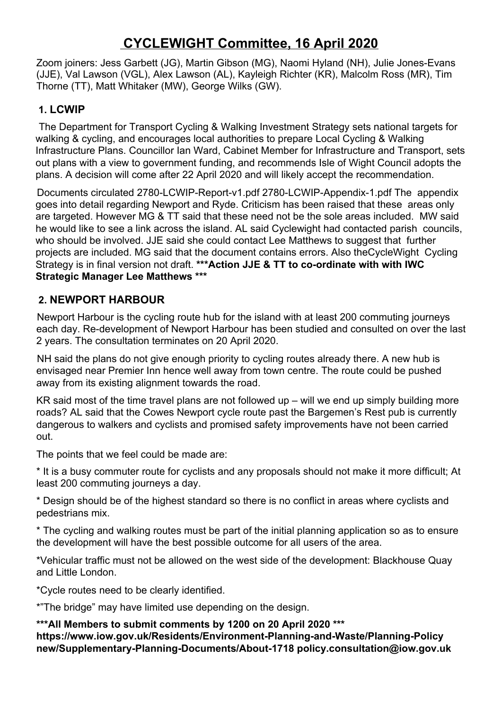# **CYCLEWIGHT Committee, 16 April 2020**

Zoom joiners: Jess Garbett (JG), Martin Gibson (MG), Naomi Hyland (NH), Julie Jones-Evans (JJE), Val Lawson (VGL), Alex Lawson (AL), Kayleigh Richter (KR), Malcolm Ross (MR), Tim Thorne (TT), Matt Whitaker (MW), George Wilks (GW).

### **1. LCWIP**

The Department for Transport Cycling & Walking Investment Strategy sets national targets for walking & cycling, and encourages local authorities to prepare Local Cycling & Walking Infrastructure Plans. Councillor Ian Ward, Cabinet Member for Infrastructure and Transport, sets out plans with a view to government funding, and recommends Isle of Wight Council adopts the plans. A decision will come after 22 April 2020 and will likely accept the recommendation.

Documents circulated 2780-LCWIP-Report-v1.pdf 2780-LCWIP-Appendix-1.pdf The appendix goes into detail regarding Newport and Ryde. Criticism has been raised that these areas only are targeted. However MG & TT said that these need not be the sole areas included. MW said he would like to see a link across the island. AL said Cyclewight had contacted parish councils, who should be involved. JJE said she could contact Lee Matthews to suggest that further projects are included. MG said that the document contains errors. Also theCycleWight Cycling Strategy is in final version not draft. **\*\*\*Action JJE & TT to co-ordinate with with IWC Strategic Manager Lee Matthews \*\*\***

# **2. NEWPORT HARBOUR**

Newport Harbour is the cycling route hub for the island with at least 200 commuting journeys each day. Re-development of Newport Harbour has been studied and consulted on over the last 2 years. The consultation terminates on 20 April 2020.

NH said the plans do not give enough priority to cycling routes already there. A new hub is envisaged near Premier Inn hence well away from town centre. The route could be pushed away from its existing alignment towards the road.

KR said most of the time travel plans are not followed up – will we end up simply building more roads? AL said that the Cowes Newport cycle route past the Bargemen's Rest pub is currently dangerous to walkers and cyclists and promised safety improvements have not been carried out.

The points that we feel could be made are:

\* It is a busy commuter route for cyclists and any proposals should not make it more difficult; At least 200 commuting journeys a day.

\* Design should be of the highest standard so there is no conflict in areas where cyclists and pedestrians mix.

\* The cycling and walking routes must be part of the initial planning application so as to ensure the development will have the best possible outcome for all users of the area.

\*Vehicular traffic must not be allowed on the west side of the development: Blackhouse Quay and Little London.

\*Cycle routes need to be clearly identified.

\*"The bridge" may have limited use depending on the design.

**\*\*\*All Members to submit comments by 1200 on 20 April 2020 \*\*\* https://www.iow.gov.uk/Residents/Environment-Planning-and-Waste/Planning-Policy new/Supplementary-Planning-Documents/About-1718 policy.consultation@iow.gov.uk**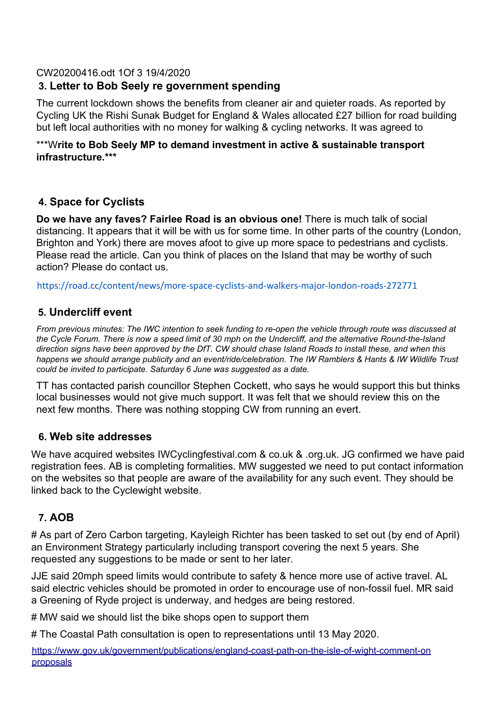#### CW20200416.odt 1Of 3 19/4/2020

# **3. Letter to Bob Seely re government spending**

The current lockdown shows the benefits from cleaner air and quieter roads. As reported by Cycling UK the Rishi Sunak Budget for England & Wales allocated £27 billion for road building but left local authorities with no money for walking & cycling networks. It was agreed to

#### \*\*\*W**rite to Bob Seely MP to demand investment in active & sustainable transport infrastructure.\*\*\***

#### **4. Space for Cyclists**

**Do we have any faves? Fairlee Road is an obvious one!** There is much talk of social distancing. It appears that it will be with us for some time. In other parts of the country (London, Brighton and York) there are moves afoot to give up more space to pedestrians and cyclists. Please read the article. Can you think of places on the Island that may be worthy of such action? Please do contact us.

https://road.cc/content/news/more-space-cyclists-and-walkers-major-london-roads-272771

#### **5. Undercliff event**

From previous minutes: The IWC intention to seek funding to re-open the vehicle through route was discussed at the Cycle Forum. There is now a speed limit of 30 mph on the Undercliff, and the alternative Round-the-Island direction signs have been approved by the DfT. CW should chase Island Roads to install these, and when this happens we should arrange publicity and an event/ride/celebration. The IW Ramblers & Hants & IW Wildlife Trust *could be invited to participate. Saturday 6 June was suggested as a date.*

TT has contacted parish councillor Stephen Cockett, who says he would support this but thinks local businesses would not give much support. It was felt that we should review this on the next few months. There was nothing stopping CW from running an evert.

#### **6. Web site addresses**

We have acquired websites IWCyclingfestival.com & co.uk & .org.uk. JG confirmed we have paid registration fees. AB is completing formalities. MW suggested we need to put contact information on the websites so that people are aware of the availability for any such event. They should be linked back to the Cyclewight website.

# **7. AOB**

# As part of Zero Carbon targeting, Kayleigh Richter has been tasked to set out (by end of April) an Environment Strategy particularly including transport covering the next 5 years. She requested any suggestions to be made or sent to her later.

JJE said 20mph speed limits would contribute to safety & hence more use of active travel. AL said electric vehicles should be promoted in order to encourage use of non-fossil fuel. MR said a Greening of Ryde project is underway, and hedges are being restored.

# MW said we should list the bike shops open to support them

# The Coastal Path consultation is open to representations until 13 May 2020.

https://www.gov.uk/government/publications/england-coast-path-on-the-isle-of-wight-comment-on proposals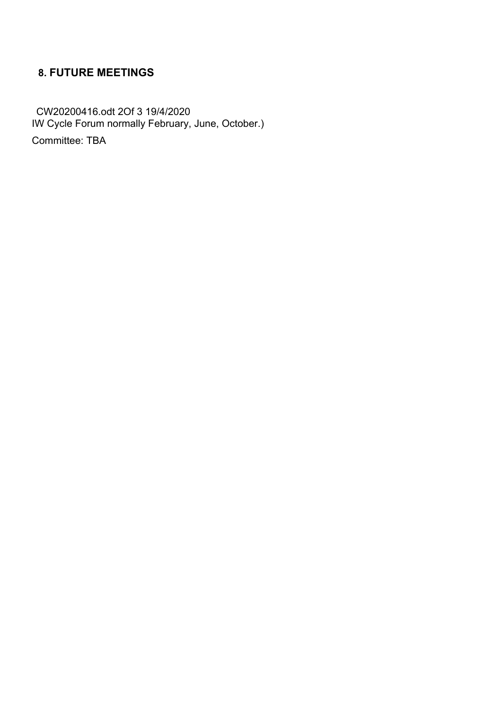# **8. FUTURE MEETINGS**

CW20200416.odt 2Of 3 19/4/2020 IW Cycle Forum normally February, June, October.)

Committee: TBA